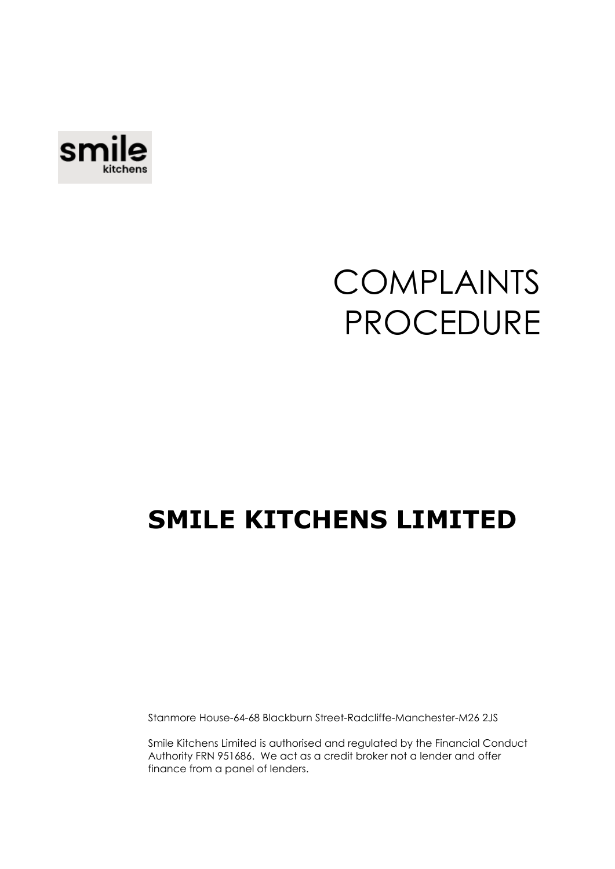

# COMPLAINTS PROCEDURE

### **SMILE KITCHENS LIMITED**

Stanmore House-64-68 Blackburn Street-Radcliffe-Manchester-M26 2JS

Smile Kitchens Limited is authorised and regulated by the Financial Conduct Authority FRN 951686. We act as a credit broker not a lender and offer finance from a panel of lenders.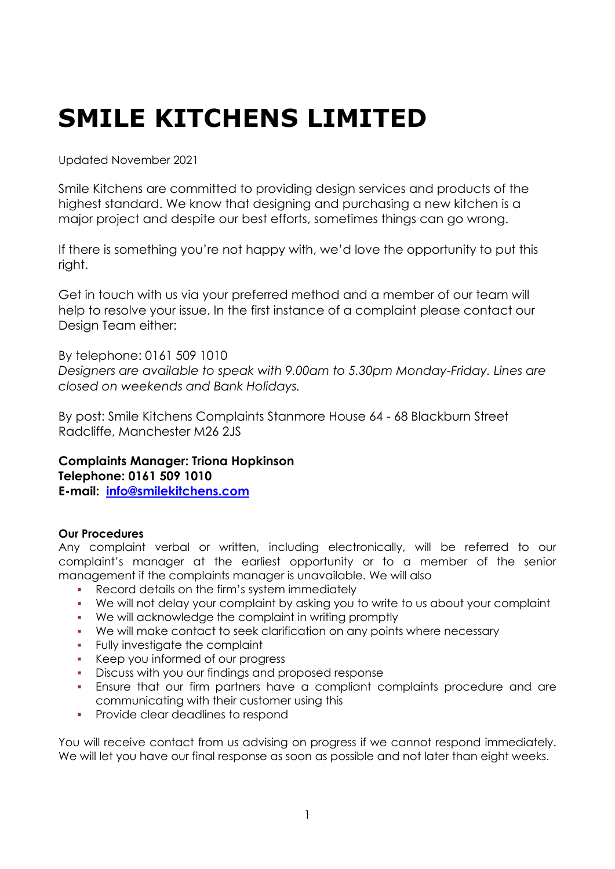## **SMILE KITCHENS LIMITED**

Updated November 2021

Smile Kitchens are committed to providing design services and products of the highest standard. We know that designing and purchasing a new kitchen is a major project and despite our best efforts, sometimes things can go wrong.

If there is something you're not happy with, we'd love the opportunity to put this right.

Get in touch with us via your preferred method and a member of our team will help to resolve your issue. In the first instance of a complaint please contact our Design Team either:

By telephone: 0161 509 1010 *Designers are available to speak with 9.00am to 5.30pm Monday-Friday. Lines are closed on weekends and Bank Holidays.*

By post: Smile Kitchens Complaints Stanmore House 64 - 68 Blackburn Street Radcliffe, Manchester M26 2JS

**Complaints Manager: Triona Hopkinson Telephone: 0161 509 1010 E-mail: [info@smilekitchens.com](mailto:info@smilekitchens.com)**

#### **Our Procedures**

Any complaint verbal or written, including electronically, will be referred to our complaint's manager at the earliest opportunity or to a member of the senior management if the complaints manager is unavailable. We will also

- Record details on the firm's system immediately
- We will not delay your complaint by asking you to write to us about your complaint
- We will acknowledge the complaint in writing promptly
- We will make contact to seek clarification on any points where necessary
- Fully investigate the complaint
- Keep you informed of our progress
- Discuss with you our findings and proposed response
- **Ensure that our firm partners have a compliant complaints procedure and are** communicating with their customer using this
- **•** Provide clear deadlines to respond

You will receive contact from us advising on progress if we cannot respond immediately. We will let you have our final response as soon as possible and not later than eight weeks.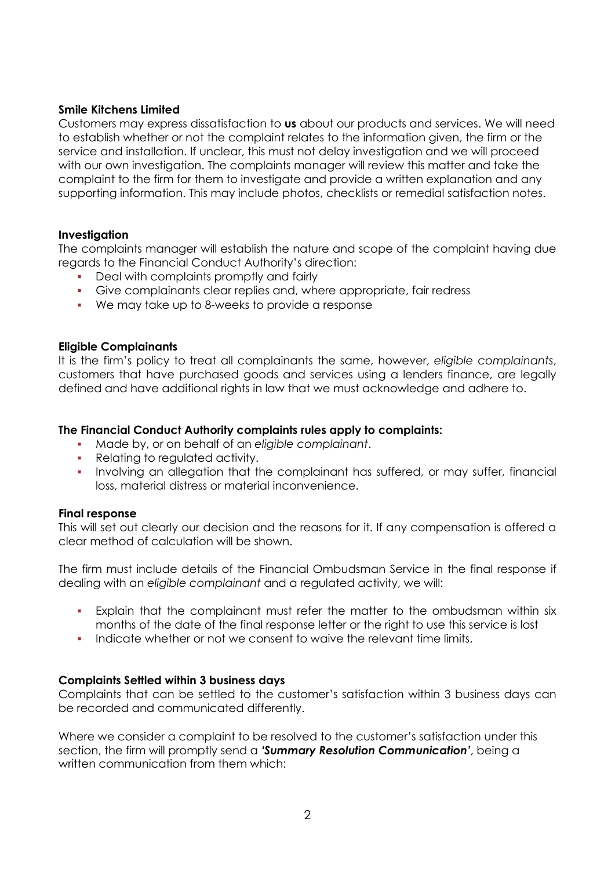#### **Smile Kitchens Limited**

Customers may express dissatisfaction to **us** about our products and services. We will need to establish whether or not the complaint relates to the information given, the firm or the service and installation. If unclear, this must not delay investigation and we will proceed with our own investigation. The complaints manager will review this matter and take the complaint to the firm for them to investigate and provide a written explanation and any supporting information. This may include photos, checklists or remedial satisfaction notes.

#### **Investigation**

The complaints manager will establish the nature and scope of the complaint having due regards to the Financial Conduct Authority's direction:

- Deal with complaints promptly and fairly
- Give complainants clear replies and, where appropriate, fair redress
- We may take up to 8-weeks to provide a response

#### **Eligible Complainants**

It is the firm's policy to treat all complainants the same, however, *eligible complainants*, customers that have purchased goods and services using a lenders finance, are legally defined and have additional rights in law that we must acknowledge and adhere to.

#### **The Financial Conduct Authority complaints rules apply to complaints:**

- Made by, or on behalf of an *eligible complainant*.
- Relating to regulated activity.
- Involving an allegation that the complainant has suffered, or may suffer, financial loss, material distress or material inconvenience.

#### **Final response**

This will set out clearly our decision and the reasons for it. If any compensation is offered a clear method of calculation will be shown.

The firm must include details of the Financial Ombudsman Service in the final response if dealing with an *eligible complainant* and a regulated activity, we will:

- Explain that the complainant must refer the matter to the ombudsman within six months of the date of the final response letter or the right to use this service is lost
- Indicate whether or not we consent to waive the relevant time limits.

#### **Complaints Settled within 3 business days**

Complaints that can be settled to the customer's satisfaction within 3 business days can be recorded and communicated differently.

Where we consider a complaint to be resolved to the customer's satisfaction under this section, the firm will promptly send a *'Summary Resolution Communication'*, being a written communication from them which: